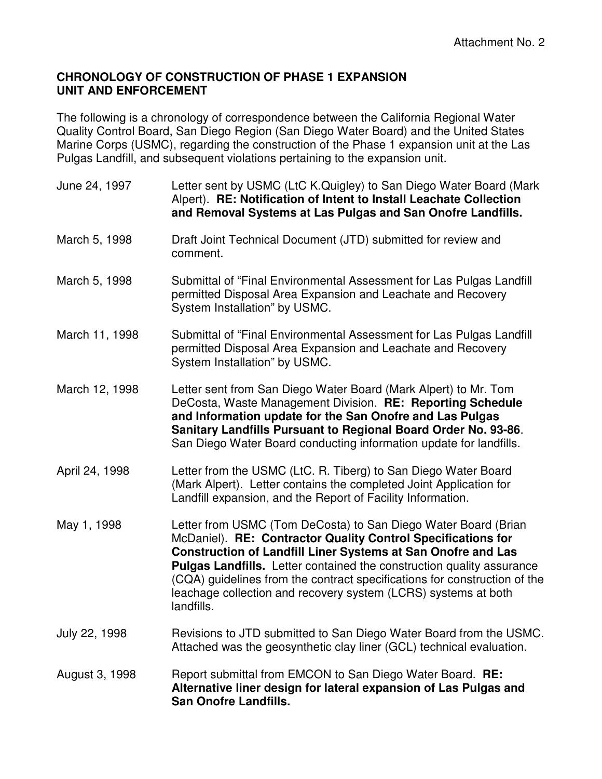## **CHRONOLOGY OF CONSTRUCTION OF PHASE 1 EXPANSION UNIT AND ENFORCEMENT**

The following is a chronology of correspondence between the California Regional Water Quality Control Board, San Diego Region (San Diego Water Board) and the United States Marine Corps (USMC), regarding the construction of the Phase 1 expansion unit at the Las Pulgas Landfill, and subsequent violations pertaining to the expansion unit.

| June 24, 1997  | Letter sent by USMC (LtC K.Quigley) to San Diego Water Board (Mark<br>Alpert). RE: Notification of Intent to Install Leachate Collection<br>and Removal Systems at Las Pulgas and San Onofre Landfills.                                                                                                                                                                                                                                            |
|----------------|----------------------------------------------------------------------------------------------------------------------------------------------------------------------------------------------------------------------------------------------------------------------------------------------------------------------------------------------------------------------------------------------------------------------------------------------------|
| March 5, 1998  | Draft Joint Technical Document (JTD) submitted for review and<br>comment.                                                                                                                                                                                                                                                                                                                                                                          |
| March 5, 1998  | Submittal of "Final Environmental Assessment for Las Pulgas Landfill<br>permitted Disposal Area Expansion and Leachate and Recovery<br>System Installation" by USMC.                                                                                                                                                                                                                                                                               |
| March 11, 1998 | Submittal of "Final Environmental Assessment for Las Pulgas Landfill<br>permitted Disposal Area Expansion and Leachate and Recovery<br>System Installation" by USMC.                                                                                                                                                                                                                                                                               |
| March 12, 1998 | Letter sent from San Diego Water Board (Mark Alpert) to Mr. Tom<br>DeCosta, Waste Management Division. RE: Reporting Schedule<br>and Information update for the San Onofre and Las Pulgas<br>Sanitary Landfills Pursuant to Regional Board Order No. 93-86.<br>San Diego Water Board conducting information update for landfills.                                                                                                                  |
| April 24, 1998 | Letter from the USMC (LtC. R. Tiberg) to San Diego Water Board<br>(Mark Alpert). Letter contains the completed Joint Application for<br>Landfill expansion, and the Report of Facility Information.                                                                                                                                                                                                                                                |
| May 1, 1998    | Letter from USMC (Tom DeCosta) to San Diego Water Board (Brian<br>McDaniel). RE: Contractor Quality Control Specifications for<br><b>Construction of Landfill Liner Systems at San Onofre and Las</b><br><b>Pulgas Landfills.</b> Letter contained the construction quality assurance<br>(CQA) guidelines from the contract specifications for construction of the<br>leachage collection and recovery system (LCRS) systems at both<br>landfills. |
| July 22, 1998  | Revisions to JTD submitted to San Diego Water Board from the USMC.<br>Attached was the geosynthetic clay liner (GCL) technical evaluation.                                                                                                                                                                                                                                                                                                         |
| August 3, 1998 | Report submittal from EMCON to San Diego Water Board. RE:<br>Alternative liner design for lateral expansion of Las Pulgas and<br><b>San Onofre Landfills.</b>                                                                                                                                                                                                                                                                                      |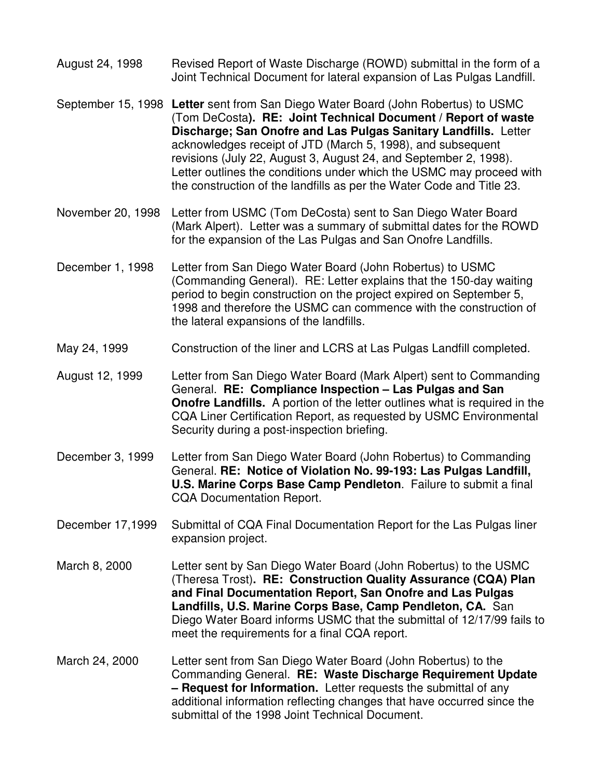- August 24, 1998 Revised Report of Waste Discharge (ROWD) submittal in the form of a Joint Technical Document for lateral expansion of Las Pulgas Landfill.
- September 15, 1998 **Letter** sent from San Diego Water Board (John Robertus) to USMC (Tom DeCosta**). RE: Joint Technical Document / Report of waste Discharge; San Onofre and Las Pulgas Sanitary Landfills.** Letter acknowledges receipt of JTD (March 5, 1998), and subsequent revisions (July 22, August 3, August 24, and September 2, 1998). Letter outlines the conditions under which the USMC may proceed with the construction of the landfills as per the Water Code and Title 23.
- November 20, 1998 Letter from USMC (Tom DeCosta) sent to San Diego Water Board (Mark Alpert). Letter was a summary of submittal dates for the ROWD for the expansion of the Las Pulgas and San Onofre Landfills.
- December 1, 1998 Letter from San Diego Water Board (John Robertus) to USMC (Commanding General). RE: Letter explains that the 150-day waiting period to begin construction on the project expired on September 5, 1998 and therefore the USMC can commence with the construction of the lateral expansions of the landfills.
- May 24, 1999 Construction of the liner and LCRS at Las Pulgas Landfill completed.
- August 12, 1999 Letter from San Diego Water Board (Mark Alpert) sent to Commanding General. **RE: Compliance Inspection – Las Pulgas and San Onofre Landfills.** A portion of the letter outlines what is required in the CQA Liner Certification Report, as requested by USMC Environmental Security during a post-inspection briefing.
- December 3, 1999 Letter from San Diego Water Board (John Robertus) to Commanding General. **RE: Notice of Violation No. 99-193: Las Pulgas Landfill, U.S. Marine Corps Base Camp Pendleton**. Failure to submit a final CQA Documentation Report.
- December 17,1999 Submittal of CQA Final Documentation Report for the Las Pulgas liner expansion project.
- March 8, 2000 Letter sent by San Diego Water Board (John Robertus) to the USMC (Theresa Trost)**. RE: Construction Quality Assurance (CQA) Plan and Final Documentation Report, San Onofre and Las Pulgas Landfills, U.S. Marine Corps Base, Camp Pendleton, CA.** San Diego Water Board informs USMC that the submittal of 12/17/99 fails to meet the requirements for a final CQA report.
- March 24, 2000 Letter sent from San Diego Water Board (John Robertus) to the Commanding General. **RE: Waste Discharge Requirement Update – Request for Information.** Letter requests the submittal of any additional information reflecting changes that have occurred since the submittal of the 1998 Joint Technical Document.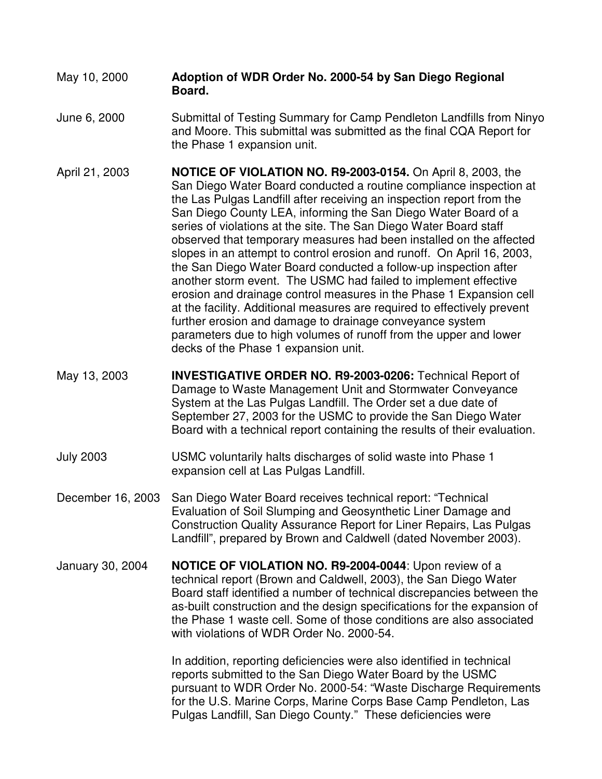## May 10, 2000 **Adoption of WDR Order No. 2000-54 by San Diego Regional Board.**

- June 6, 2000 Submittal of Testing Summary for Camp Pendleton Landfills from Ninyo and Moore. This submittal was submitted as the final CQA Report for the Phase 1 expansion unit.
- April 21, 2003 **NOTICE OF VIOLATION NO. R9-2003-0154.** On April 8, 2003, the San Diego Water Board conducted a routine compliance inspection at the Las Pulgas Landfill after receiving an inspection report from the San Diego County LEA, informing the San Diego Water Board of a series of violations at the site. The San Diego Water Board staff observed that temporary measures had been installed on the affected slopes in an attempt to control erosion and runoff. On April 16, 2003, the San Diego Water Board conducted a follow-up inspection after another storm event. The USMC had failed to implement effective erosion and drainage control measures in the Phase 1 Expansion cell at the facility. Additional measures are required to effectively prevent further erosion and damage to drainage conveyance system parameters due to high volumes of runoff from the upper and lower decks of the Phase 1 expansion unit.
- May 13, 2003 **INVESTIGATIVE ORDER NO. R9-2003-0206:** Technical Report of Damage to Waste Management Unit and Stormwater Conveyance System at the Las Pulgas Landfill. The Order set a due date of September 27, 2003 for the USMC to provide the San Diego Water Board with a technical report containing the results of their evaluation.
- July 2003 USMC voluntarily halts discharges of solid waste into Phase 1 expansion cell at Las Pulgas Landfill.
- December 16, 2003 San Diego Water Board receives technical report: "Technical Evaluation of Soil Slumping and Geosynthetic Liner Damage and Construction Quality Assurance Report for Liner Repairs, Las Pulgas Landfill", prepared by Brown and Caldwell (dated November 2003).
- January 30, 2004 **NOTICE OF VIOLATION NO. R9-2004-0044**: Upon review of a technical report (Brown and Caldwell, 2003), the San Diego Water Board staff identified a number of technical discrepancies between the as-built construction and the design specifications for the expansion of the Phase 1 waste cell. Some of those conditions are also associated with violations of WDR Order No. 2000-54.

In addition, reporting deficiencies were also identified in technical reports submitted to the San Diego Water Board by the USMC pursuant to WDR Order No. 2000-54: "Waste Discharge Requirements for the U.S. Marine Corps, Marine Corps Base Camp Pendleton, Las Pulgas Landfill, San Diego County." These deficiencies were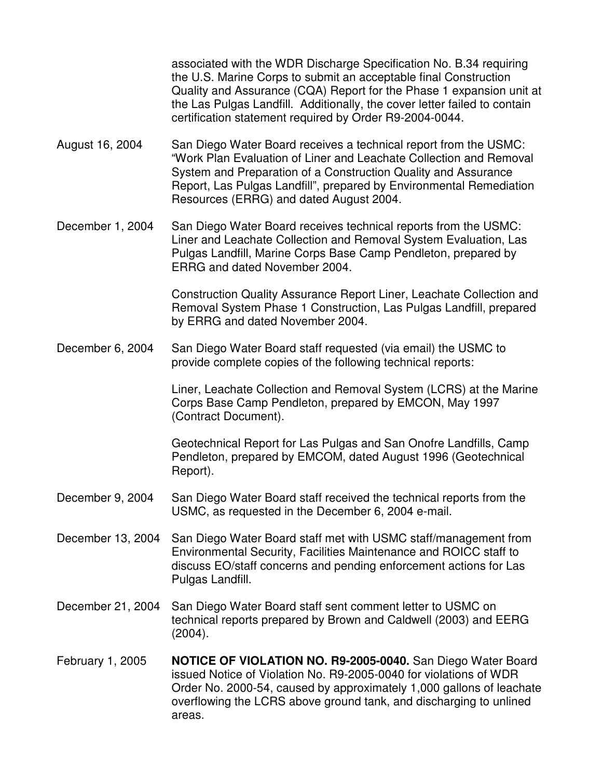associated with the WDR Discharge Specification No. B.34 requiring the U.S. Marine Corps to submit an acceptable final Construction Quality and Assurance (CQA) Report for the Phase 1 expansion unit at the Las Pulgas Landfill. Additionally, the cover letter failed to contain certification statement required by Order R9-2004-0044.

August 16, 2004 San Diego Water Board receives a technical report from the USMC: "Work Plan Evaluation of Liner and Leachate Collection and Removal System and Preparation of a Construction Quality and Assurance Report, Las Pulgas Landfill", prepared by Environmental Remediation Resources (ERRG) and dated August 2004.

December 1, 2004 San Diego Water Board receives technical reports from the USMC: Liner and Leachate Collection and Removal System Evaluation, Las Pulgas Landfill, Marine Corps Base Camp Pendleton, prepared by ERRG and dated November 2004.

> Construction Quality Assurance Report Liner, Leachate Collection and Removal System Phase 1 Construction, Las Pulgas Landfill, prepared by ERRG and dated November 2004.

December 6, 2004 San Diego Water Board staff requested (via email) the USMC to provide complete copies of the following technical reports:

> Liner, Leachate Collection and Removal System (LCRS) at the Marine Corps Base Camp Pendleton, prepared by EMCON, May 1997 (Contract Document).

Geotechnical Report for Las Pulgas and San Onofre Landfills, Camp Pendleton, prepared by EMCOM, dated August 1996 (Geotechnical Report).

- December 9, 2004 San Diego Water Board staff received the technical reports from the USMC, as requested in the December 6, 2004 e-mail.
- December 13, 2004 San Diego Water Board staff met with USMC staff/management from Environmental Security, Facilities Maintenance and ROICC staff to discuss EO/staff concerns and pending enforcement actions for Las Pulgas Landfill.
- December 21, 2004 San Diego Water Board staff sent comment letter to USMC on technical reports prepared by Brown and Caldwell (2003) and EERG (2004).
- February 1, 2005 **NOTICE OF VIOLATION NO. R9-2005-0040.** San Diego Water Board issued Notice of Violation No. R9-2005-0040 for violations of WDR Order No. 2000-54, caused by approximately 1,000 gallons of leachate overflowing the LCRS above ground tank, and discharging to unlined areas.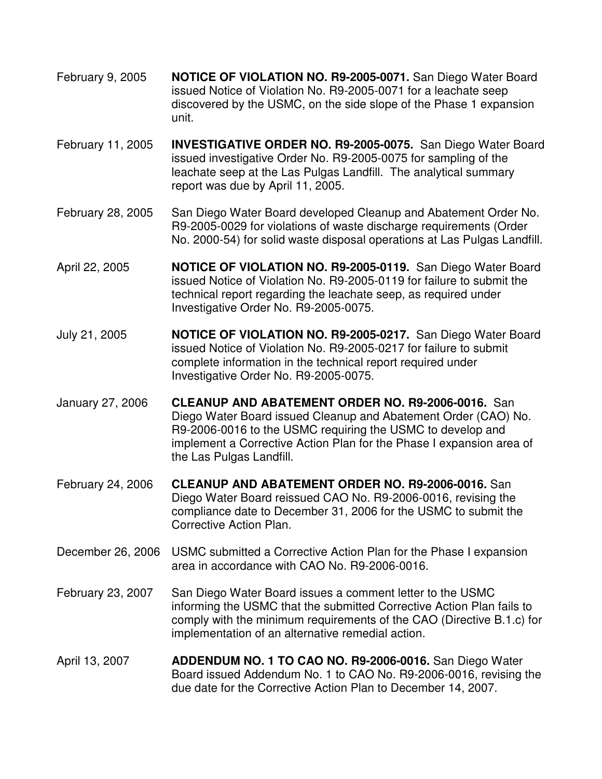- February 9, 2005 **NOTICE OF VIOLATION NO. R9-2005-0071.** San Diego Water Board issued Notice of Violation No. R9-2005-0071 for a leachate seep discovered by the USMC, on the side slope of the Phase 1 expansion unit.
- February 11, 2005 **INVESTIGATIVE ORDER NO. R9-2005-0075.** San Diego Water Board issued investigative Order No. R9-2005-0075 for sampling of the leachate seep at the Las Pulgas Landfill. The analytical summary report was due by April 11, 2005.
- February 28, 2005 San Diego Water Board developed Cleanup and Abatement Order No. R9-2005-0029 for violations of waste discharge requirements (Order No. 2000-54) for solid waste disposal operations at Las Pulgas Landfill.
- April 22, 2005 **NOTICE OF VIOLATION NO. R9-2005-0119.** San Diego Water Board issued Notice of Violation No. R9-2005-0119 for failure to submit the technical report regarding the leachate seep, as required under Investigative Order No. R9-2005-0075.
- July 21, 2005 **NOTICE OF VIOLATION NO. R9-2005-0217.** San Diego Water Board issued Notice of Violation No. R9-2005-0217 for failure to submit complete information in the technical report required under Investigative Order No. R9-2005-0075.
- January 27, 2006 **CLEANUP AND ABATEMENT ORDER NO. R9-2006-0016.** San Diego Water Board issued Cleanup and Abatement Order (CAO) No. R9-2006-0016 to the USMC requiring the USMC to develop and implement a Corrective Action Plan for the Phase I expansion area of the Las Pulgas Landfill.
- February 24, 2006 **CLEANUP AND ABATEMENT ORDER NO. R9-2006-0016.** San Diego Water Board reissued CAO No. R9-2006-0016, revising the compliance date to December 31, 2006 for the USMC to submit the Corrective Action Plan.
- December 26, 2006 USMC submitted a Corrective Action Plan for the Phase I expansion area in accordance with CAO No. R9-2006-0016.
- February 23, 2007 San Diego Water Board issues a comment letter to the USMC informing the USMC that the submitted Corrective Action Plan fails to comply with the minimum requirements of the CAO (Directive B.1.c) for implementation of an alternative remedial action.
- April 13, 2007 **ADDENDUM NO. 1 TO CAO NO. R9-2006-0016.** San Diego Water Board issued Addendum No. 1 to CAO No. R9-2006-0016, revising the due date for the Corrective Action Plan to December 14, 2007.